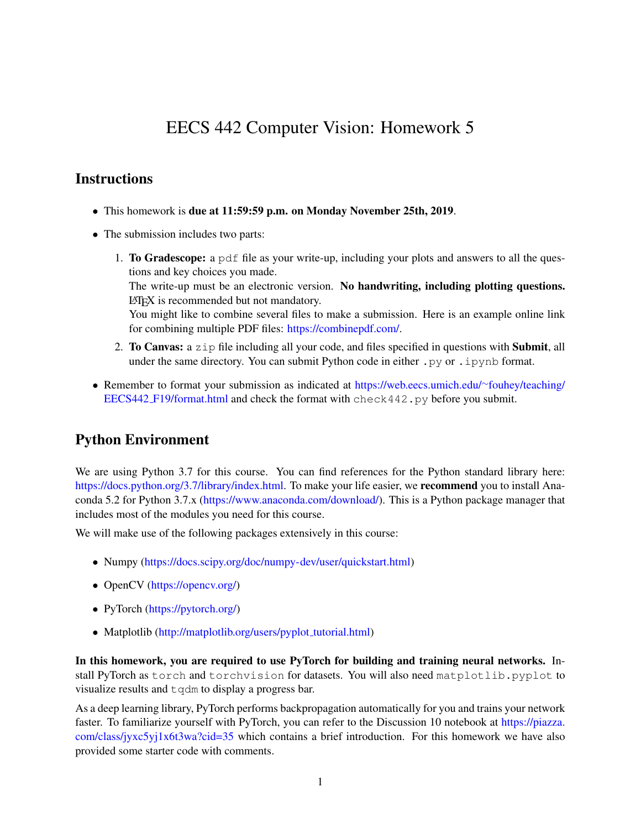# EECS 442 Computer Vision: Homework 5

## **Instructions**

- This homework is due at 11:59:59 p.m. on Monday November 25th, 2019.
- The submission includes two parts:
	- 1. To Gradescope: a pdf file as your write-up, including your plots and answers to all the questions and key choices you made. The write-up must be an electronic version. No handwriting, including plotting questions. LATEX is recommended but not mandatory. You might like to combine several files to make a submission. Here is an example online link for combining multiple PDF files: [https://combinepdf.com/.](https://combinepdf.com/)
	- 2. To Canvas: a  $z$  ip file including all your code, and files specified in questions with Submit, all under the same directory. You can submit Python code in either  $.py$  or  $.ipy$  nb format.
- Remember to format your submission as indicated at [https://web.eecs.umich.edu/](https://web.eecs.umich.edu/~fouhey/teaching/EECS442_F19/format.html)∼fouhey/teaching/ EECS442 [F19/format.html](https://web.eecs.umich.edu/~fouhey/teaching/EECS442_F19/format.html) and check the format with check442.py before you submit.

# Python Environment

We are using Python 3.7 for this course. You can find references for the Python standard library here: [https://docs.python.org/3.7/library/index.html.](https://docs.python.org/3.7/library/index.html) To make your life easier, we **recommend** you to install Anaconda 5.2 for Python 3.7.x [\(https://www.anaconda.com/download/\)](https://www.anaconda.com/download/). This is a Python package manager that includes most of the modules you need for this course.

We will make use of the following packages extensively in this course:

- Numpy [\(https://docs.scipy.org/doc/numpy-dev/user/quickstart.html\)](https://docs.scipy.org/doc/numpy-dev/user/quickstart.html)
- OpenCV [\(https://opencv.org/\)](https://opencv.org/)
- PyTorch [\(https://pytorch.org/\)](https://pytorch.org/)
- Matplotlib [\(http://matplotlib.org/users/pyplot](http://matplotlib.org/users/pyplot_tutorial.html)\_tutorial.html)

In this homework, you are required to use PyTorch for building and training neural networks. Install PyTorch as torch and torchvision for datasets. You will also need matplotlib.pyplot to visualize results and tqdm to display a progress bar.

As a deep learning library, PyTorch performs backpropagation automatically for you and trains your network faster. To familiarize yourself with PyTorch, you can refer to the Discussion 10 notebook at [https://piazza.](https://piazza.com/class/jyxc5yj1x6t3wa?cid=35) [com/class/jyxc5yj1x6t3wa?cid=35](https://piazza.com/class/jyxc5yj1x6t3wa?cid=35) which contains a brief introduction. For this homework we have also provided some starter code with comments.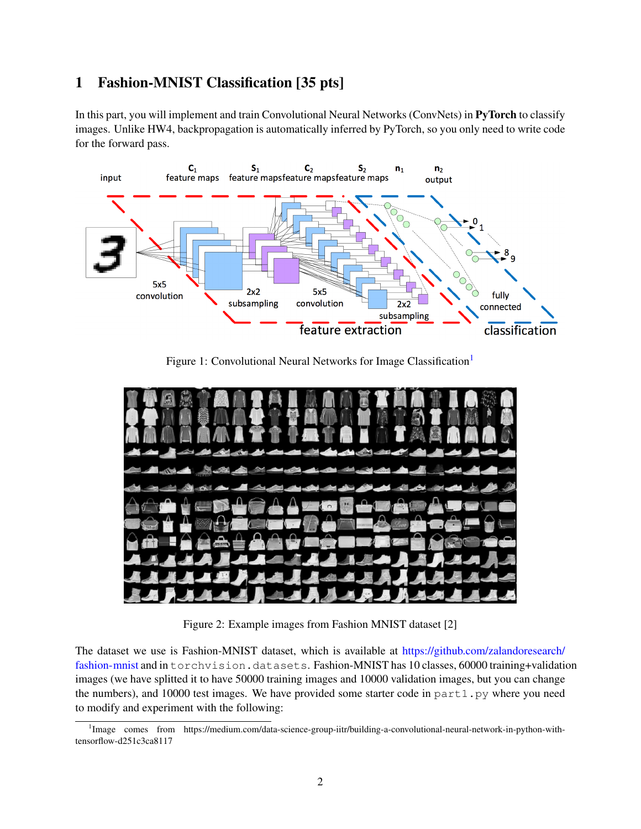# 1 Fashion-MNIST Classification [35 pts]

In this part, you will implement and train Convolutional Neural Networks (ConvNets) in PyTorch to classify images. Unlike HW4, backpropagation is automatically inferred by PyTorch, so you only need to write code for the forward pass.



Figure [1](#page-1-0): Convolutional Neural Networks for Image Classification<sup>1</sup>



Figure 2: Example images from Fashion MNIST dataset [2]

The dataset we use is Fashion-MNIST dataset, which is available at [https://github.com/zalandoresearch/](https://github.com/zalandoresearch/fashion-mnist) [fashion-mnist](https://github.com/zalandoresearch/fashion-mnist) and in torchvision.datasets. Fashion-MNIST has 10 classes, 60000 training+validation images (we have splitted it to have 50000 training images and 10000 validation images, but you can change the numbers), and 10000 test images. We have provided some starter code in  $part1.py$  where you need to modify and experiment with the following:

<span id="page-1-0"></span><sup>&</sup>lt;sup>1</sup>Image comes from https://medium.com/data-science-group-iitr/building-a-convolutional-neural-network-in-python-withtensorflow-d251c3ca8117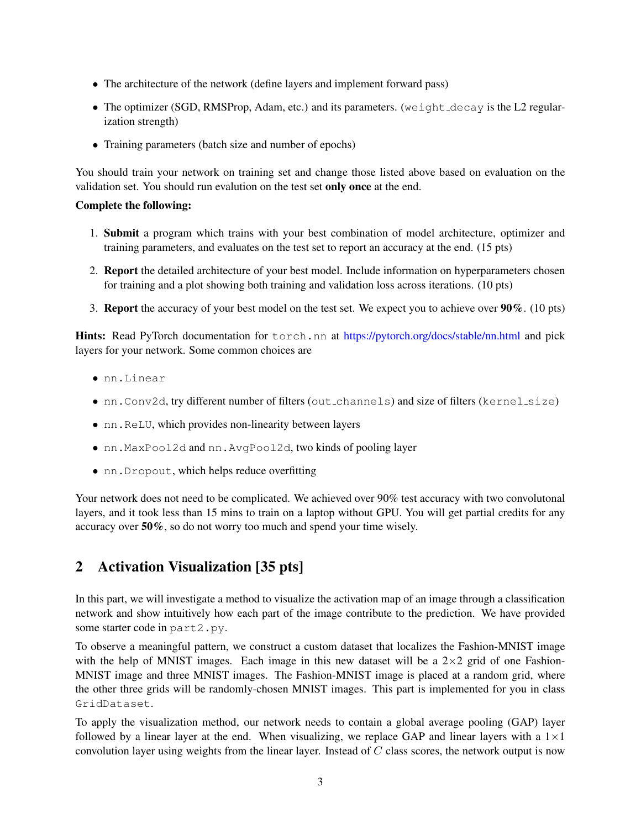- The architecture of the network (define layers and implement forward pass)
- The optimizer (SGD, RMSProp, Adam, etc.) and its parameters. (we ight  $dec$ ay is the L2 regularization strength)
- Training parameters (batch size and number of epochs)

You should train your network on training set and change those listed above based on evaluation on the validation set. You should run evalution on the test set only once at the end.

#### Complete the following:

- 1. Submit a program which trains with your best combination of model architecture, optimizer and training parameters, and evaluates on the test set to report an accuracy at the end. (15 pts)
- 2. Report the detailed architecture of your best model. Include information on hyperparameters chosen for training and a plot showing both training and validation loss across iterations. (10 pts)
- 3. Report the accuracy of your best model on the test set. We expect you to achieve over 90%. (10 pts)

Hints: Read PyTorch documentation for torch.nn at <https://pytorch.org/docs/stable/nn.html> and pick layers for your network. Some common choices are

- nn.Linear
- nn.Conv2d, try different number of filters (out\_channels) and size of filters (kernel\_size)
- nn.ReLU, which provides non-linearity between layers
- nn.MaxPool2d and nn.AvgPool2d, two kinds of pooling layer
- nn.Dropout, which helps reduce overfitting

Your network does not need to be complicated. We achieved over  $90\%$  test accuracy with two convolutonal layers, and it took less than 15 mins to train on a laptop without GPU. You will get partial credits for any accuracy over 50%, so do not worry too much and spend your time wisely.

# 2 Activation Visualization [35 pts]

In this part, we will investigate a method to visualize the activation map of an image through a classification network and show intuitively how each part of the image contribute to the prediction. We have provided some starter code in part2.py.

To observe a meaningful pattern, we construct a custom dataset that localizes the Fashion-MNIST image with the help of MNIST images. Each image in this new dataset will be a  $2\times 2$  grid of one Fashion-MNIST image and three MNIST images. The Fashion-MNIST image is placed at a random grid, where the other three grids will be randomly-chosen MNIST images. This part is implemented for you in class GridDataset.

To apply the visualization method, our network needs to contain a global average pooling (GAP) layer followed by a linear layer at the end. When visualizing, we replace GAP and linear layers with a  $1 \times 1$ convolution layer using weights from the linear layer. Instead of  $C$  class scores, the network output is now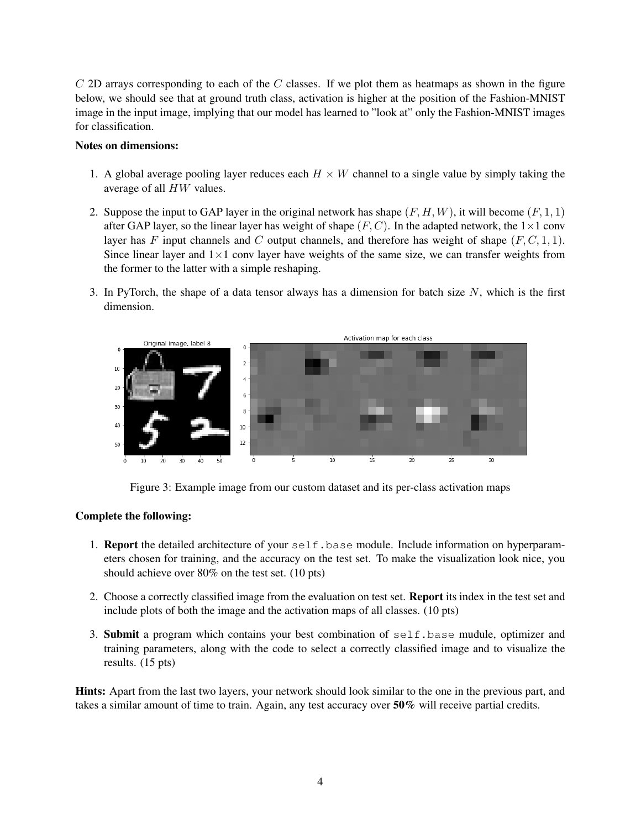$C$  2D arrays corresponding to each of the  $C$  classes. If we plot them as heatmaps as shown in the figure below, we should see that at ground truth class, activation is higher at the position of the Fashion-MNIST image in the input image, implying that our model has learned to "look at" only the Fashion-MNIST images for classification.

#### Notes on dimensions:

- 1. A global average pooling layer reduces each  $H \times W$  channel to a single value by simply taking the average of all HW values.
- 2. Suppose the input to GAP layer in the original network has shape  $(F, H, W)$ , it will become  $(F, 1, 1)$ after GAP layer, so the linear layer has weight of shape  $(F, C)$ . In the adapted network, the  $1 \times 1$  conv layer has F input channels and C output channels, and therefore has weight of shape  $(F, C, 1, 1)$ . Since linear layer and  $1\times1$  conv layer have weights of the same size, we can transfer weights from the former to the latter with a simple reshaping.
- 3. In PyTorch, the shape of a data tensor always has a dimension for batch size  $N$ , which is the first dimension.



Figure 3: Example image from our custom dataset and its per-class activation maps

#### Complete the following:

- 1. **Report** the detailed architecture of your  $self.\text{base}$  module. Include information on hyperparameters chosen for training, and the accuracy on the test set. To make the visualization look nice, you should achieve over 80% on the test set. (10 pts)
- 2. Choose a correctly classified image from the evaluation on test set. Report its index in the test set and include plots of both the image and the activation maps of all classes. (10 pts)
- 3. Submit a program which contains your best combination of self.base mudule, optimizer and training parameters, along with the code to select a correctly classified image and to visualize the results. (15 pts)

Hints: Apart from the last two layers, your network should look similar to the one in the previous part, and takes a similar amount of time to train. Again, any test accuracy over 50% will receive partial credits.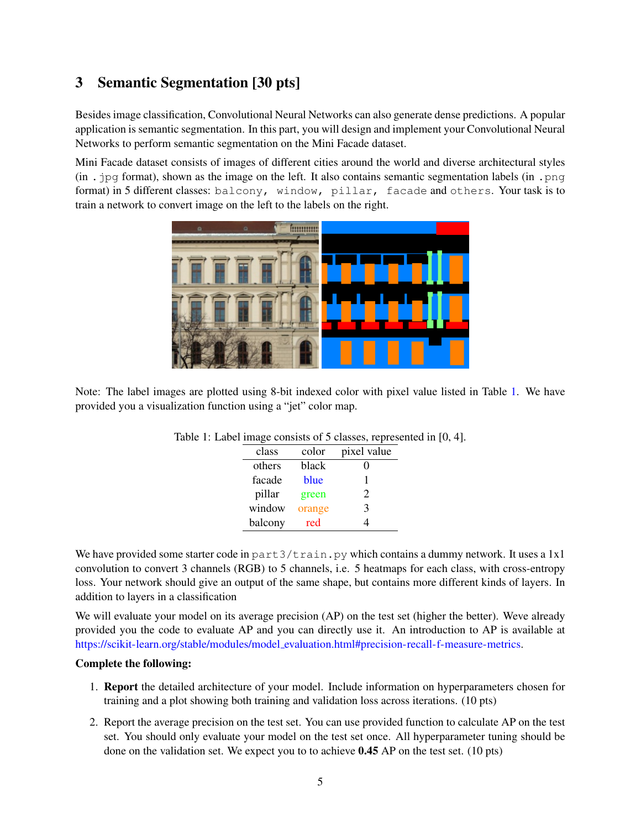## 3 Semantic Segmentation [30 pts]

Besides image classification, Convolutional Neural Networks can also generate dense predictions. A popular application is semantic segmentation. In this part, you will design and implement your Convolutional Neural Networks to perform semantic segmentation on the Mini Facade dataset.

Mini Facade dataset consists of images of different cities around the world and diverse architectural styles  $(in \rightarrow ppf)$  format), shown as the image on the left. It also contains semantic segmentation labels  $(in \rightarrow pqf)$ format) in 5 different classes: balcony, window, pillar, facade and others. Your task is to train a network to convert image on the left to the labels on the right.



Note: The label images are plotted using 8-bit indexed color with pixel value listed in Table [1.](#page-4-0) We have provided you a visualization function using a "jet" color map.

<span id="page-4-0"></span>

| class   | color  | pixel value                 |
|---------|--------|-----------------------------|
| others  | black  |                             |
| facade  | blue   |                             |
| pillar  | green  | $\mathcal{D}_{\mathcal{L}}$ |
| window  | orange | 3                           |
| balcony | red    |                             |

We have provided some starter code in part  $3/\text{train}$ , py which contains a dummy network. It uses a 1x1 convolution to convert 3 channels (RGB) to 5 channels, i.e. 5 heatmaps for each class, with cross-entropy loss. Your network should give an output of the same shape, but contains more different kinds of layers. In addition to layers in a classification

We will evaluate your model on its average precision (AP) on the test set (higher the better). Weve already provided you the code to evaluate AP and you can directly use it. An introduction to AP is available at https://scikit-learn.org/stable/modules/model [evaluation.html#precision-recall-f-measure-metrics.](https://scikit-learn.org/stable/modules/model_evaluation.html#precision-recall-f-measure-metrics)

#### Complete the following:

- 1. Report the detailed architecture of your model. Include information on hyperparameters chosen for training and a plot showing both training and validation loss across iterations. (10 pts)
- 2. Report the average precision on the test set. You can use provided function to calculate AP on the test set. You should only evaluate your model on the test set once. All hyperparameter tuning should be done on the validation set. We expect you to to achieve  $0.45$  AP on the test set. (10 pts)